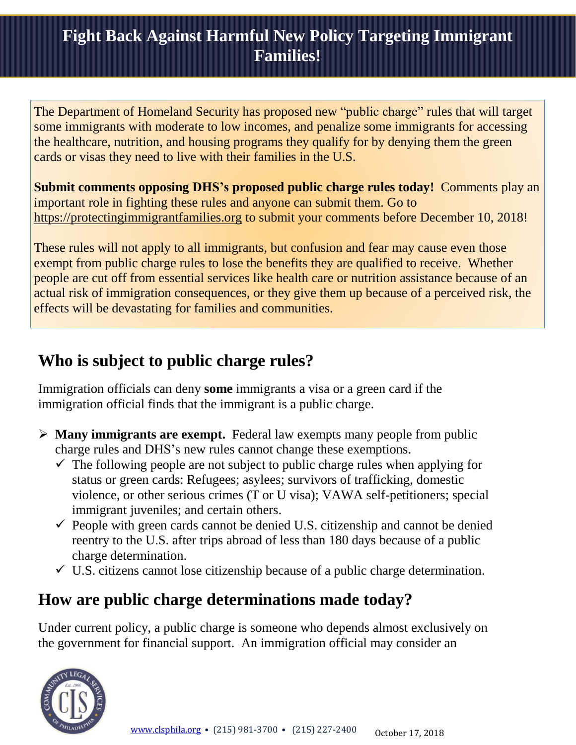### **Fight Back Against Harmful New Policy Targeting Immigrant Families!**

The Department of Homeland Security has proposed new "public charge" rules that will target some immigrants with moderate to low incomes, and penalize some immigrants for accessing the healthcare, nutrition, and housing programs they qualify for by denying them the green cards or visas they need to live with their families in the U.S.

**Submit comments opposing DHS's proposed public charge rules today!** Comments play an important role in fighting these rules and anyone can submit them. Go to [https://protectingimmigrantfamilies.org](https://protectingimmigrantfamilies.org/) to submit your comments before December 10, 2018!

These rules will not apply to all immigrants, but confusion and fear may cause even those exempt from public charge rules to lose the benefits they are qualified to receive. Whether people are cut off from essential services like health care or nutrition assistance because of an actual risk of immigration consequences, or they give them up because of a perceived risk, the effects will be devastating for families and communities.

### **Who is subject to public charge rules?**

Immigration officials can deny **some** immigrants a visa or a green card if the immigration official finds that the immigrant is a public charge.

- **Many immigrants are exempt.**Federal law exempts many people from public charge rules and DHS's new rules cannot change these exemptions.
	- $\checkmark$  The following people are not subject to public charge rules when applying for status or green cards: Refugees; asylees; survivors of trafficking, domestic violence, or other serious crimes (T or U visa); VAWA self-petitioners; special immigrant juveniles; and certain others.
	- $\checkmark$  People with green cards cannot be denied U.S. citizenship and cannot be denied reentry to the U.S. after trips abroad of less than 180 days because of a public charge determination.
	- $\checkmark$  U.S. citizens cannot lose citizenship because of a public charge determination.

### **How are public charge determinations made today?**

Under current policy, a public charge is someone who depends almost exclusively on the government for financial support. An immigration official may consider an